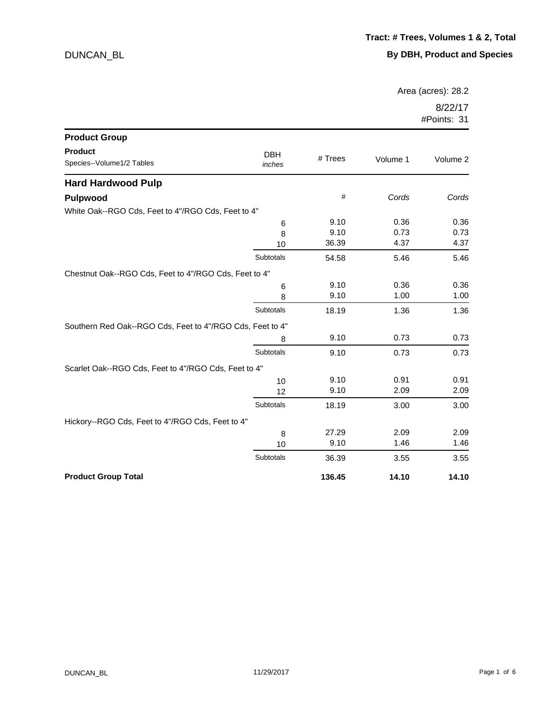Area (acres): 28.2

| <b>Product Group</b>                                      |                      |         |          |          |
|-----------------------------------------------------------|----------------------|---------|----------|----------|
| <b>Product</b><br>Species--Volume1/2 Tables               | <b>DBH</b><br>inches | # Trees | Volume 1 | Volume 2 |
| <b>Hard Hardwood Pulp</b>                                 |                      |         |          |          |
| <b>Pulpwood</b>                                           |                      | #       | Cords    | Cords    |
| White Oak--RGO Cds, Feet to 4"/RGO Cds, Feet to 4"        |                      |         |          |          |
|                                                           | 6                    | 9.10    | 0.36     | 0.36     |
|                                                           | 8                    | 9.10    | 0.73     | 0.73     |
|                                                           | 10                   | 36.39   | 4.37     | 4.37     |
|                                                           | Subtotals            | 54.58   | 5.46     | 5.46     |
| Chestnut Oak--RGO Cds, Feet to 4"/RGO Cds, Feet to 4"     |                      |         |          |          |
|                                                           | 6                    | 9.10    | 0.36     | 0.36     |
|                                                           | 8                    | 9.10    | 1.00     | 1.00     |
|                                                           | Subtotals            | 18.19   | 1.36     | 1.36     |
| Southern Red Oak--RGO Cds, Feet to 4"/RGO Cds, Feet to 4" |                      |         |          |          |
|                                                           | 8                    | 9.10    | 0.73     | 0.73     |
|                                                           | Subtotals            | 9.10    | 0.73     | 0.73     |
| Scarlet Oak--RGO Cds, Feet to 4"/RGO Cds, Feet to 4"      |                      |         |          |          |
|                                                           | 10                   | 9.10    | 0.91     | 0.91     |
|                                                           | 12                   | 9.10    | 2.09     | 2.09     |
|                                                           | Subtotals            | 18.19   | 3.00     | 3.00     |
| Hickory--RGO Cds, Feet to 4"/RGO Cds, Feet to 4"          |                      |         |          |          |
|                                                           | 8                    | 27.29   | 2.09     | 2.09     |
|                                                           | 10                   | 9.10    | 1.46     | 1.46     |
|                                                           | Subtotals            | 36.39   | 3.55     | 3.55     |
| <b>Product Group Total</b>                                |                      | 136.45  | 14.10    | 14.10    |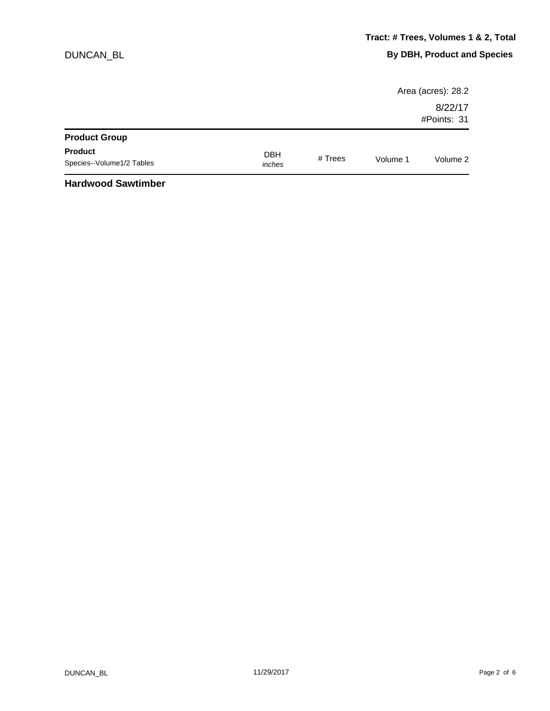|                                             |                      |         |          | Area (acres): 28.2     |
|---------------------------------------------|----------------------|---------|----------|------------------------|
|                                             |                      |         |          | 8/22/17<br>#Points: 31 |
| <b>Product Group</b>                        |                      |         |          |                        |
| <b>Product</b><br>Species--Volume1/2 Tables | <b>DBH</b><br>inches | # Trees | Volume 1 | Volume 2               |
| .                                           |                      |         |          |                        |

#### **Hardwood Sawtimber**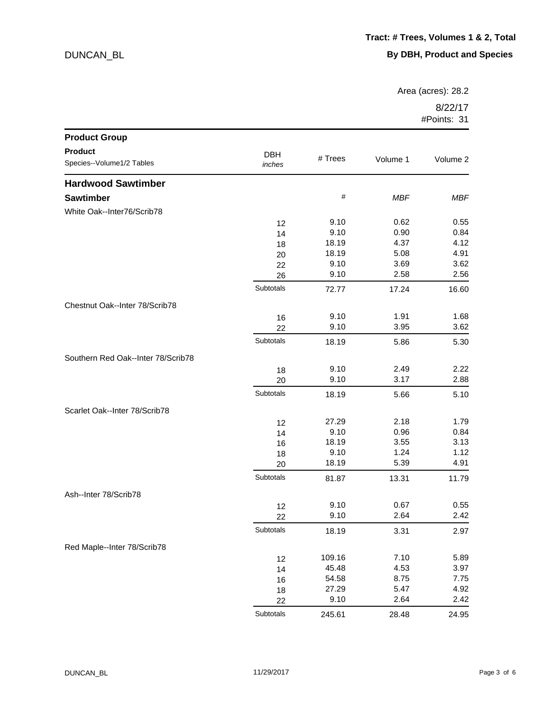Area (acres): 28.2

| <b>Product Group</b>               |            |         |            |            |
|------------------------------------|------------|---------|------------|------------|
| <b>Product</b>                     | <b>DBH</b> |         |            |            |
| Species--Volume1/2 Tables          | inches     | # Trees | Volume 1   | Volume 2   |
| <b>Hardwood Sawtimber</b>          |            |         |            |            |
| <b>Sawtimber</b>                   |            | $\#$    | <b>MBF</b> | <b>MBF</b> |
| White Oak--Inter76/Scrib78         |            |         |            |            |
|                                    | 12         | 9.10    | 0.62       | 0.55       |
|                                    | 14         | 9.10    | 0.90       | 0.84       |
|                                    | 18         | 18.19   | 4.37       | 4.12       |
|                                    | 20         | 18.19   | 5.08       | 4.91       |
|                                    | 22         | 9.10    | 3.69       | 3.62       |
|                                    | 26         | 9.10    | 2.58       | 2.56       |
|                                    | Subtotals  | 72.77   | 17.24      | 16.60      |
| Chestnut Oak--Inter 78/Scrib78     |            |         |            |            |
|                                    | 16         | 9.10    | 1.91       | 1.68       |
|                                    | 22         | 9.10    | 3.95       | 3.62       |
|                                    | Subtotals  | 18.19   | 5.86       | 5.30       |
| Southern Red Oak--Inter 78/Scrib78 |            |         |            |            |
|                                    | 18         | 9.10    | 2.49       | 2.22       |
|                                    | 20         | 9.10    | 3.17       | 2.88       |
|                                    | Subtotals  | 18.19   | 5.66       | 5.10       |
| Scarlet Oak--Inter 78/Scrib78      |            |         |            |            |
|                                    | 12         | 27.29   | 2.18       | 1.79       |
|                                    | 14         | 9.10    | 0.96       | 0.84       |
|                                    | 16         | 18.19   | 3.55       | 3.13       |
|                                    | 18         | 9.10    | 1.24       | 1.12       |
|                                    | 20         | 18.19   | 5.39       | 4.91       |
|                                    | Subtotals  | 81.87   | 13.31      | 11.79      |
| Ash--Inter 78/Scrib78              |            |         |            |            |
|                                    | 12         | 9.10    | 0.67       | 0.55       |
|                                    | 22         | 9.10    | 2.64       | 2.42       |
|                                    | Subtotals  | 18.19   | 3.31       | 2.97       |
| Red Maple--Inter 78/Scrib78        |            |         |            |            |
|                                    | 12         | 109.16  | 7.10       | 5.89       |
|                                    | 14         | 45.48   | 4.53       | 3.97       |
|                                    | 16         | 54.58   | 8.75       | 7.75       |
|                                    | 18         | 27.29   | 5.47       | 4.92       |
|                                    | 22         | 9.10    | 2.64       | 2.42       |
|                                    | Subtotals  | 245.61  | 28.48      | 24.95      |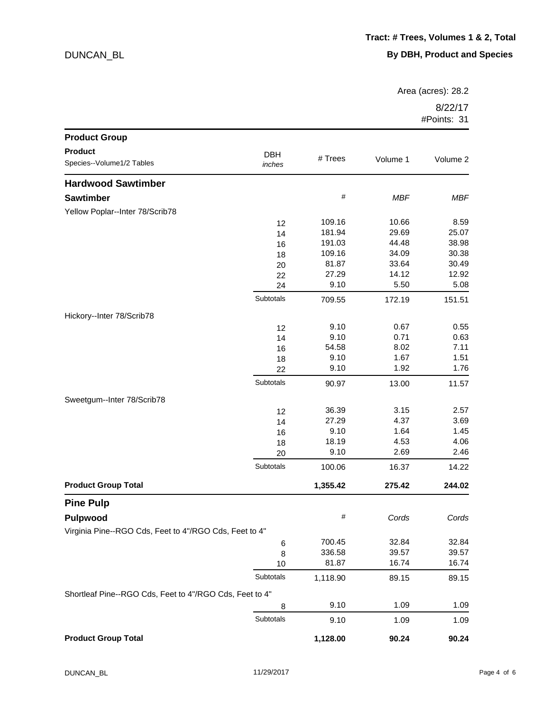Area (acres): 28.2

| <b>Product Group</b>                                    |                      |          |            |            |
|---------------------------------------------------------|----------------------|----------|------------|------------|
| <b>Product</b>                                          |                      |          |            |            |
| Species--Volume1/2 Tables                               | <b>DBH</b><br>inches | # Trees  | Volume 1   | Volume 2   |
| <b>Hardwood Sawtimber</b>                               |                      |          |            |            |
| <b>Sawtimber</b>                                        |                      | $\#$     | <b>MBF</b> | <b>MBF</b> |
| Yellow Poplar--Inter 78/Scrib78                         |                      |          |            |            |
|                                                         | 12                   | 109.16   | 10.66      | 8.59       |
|                                                         | 14                   | 181.94   | 29.69      | 25.07      |
|                                                         | 16                   | 191.03   | 44.48      | 38.98      |
|                                                         | 18                   | 109.16   | 34.09      | 30.38      |
|                                                         | 20                   | 81.87    | 33.64      | 30.49      |
|                                                         | 22                   | 27.29    | 14.12      | 12.92      |
|                                                         | 24                   | 9.10     | 5.50       | 5.08       |
|                                                         | Subtotals            | 709.55   | 172.19     | 151.51     |
| Hickory--Inter 78/Scrib78                               |                      |          |            |            |
|                                                         | 12                   | 9.10     | 0.67       | 0.55       |
|                                                         | 14                   | 9.10     | 0.71       | 0.63       |
|                                                         | 16                   | 54.58    | 8.02       | 7.11       |
|                                                         | 18                   | 9.10     | 1.67       | 1.51       |
|                                                         | 22                   | 9.10     | 1.92       | 1.76       |
|                                                         | Subtotals            | 90.97    | 13.00      | 11.57      |
| Sweetgum--Inter 78/Scrib78                              |                      |          |            |            |
|                                                         | 12                   | 36.39    | 3.15       | 2.57       |
|                                                         | 14                   | 27.29    | 4.37       | 3.69       |
|                                                         | 16                   | 9.10     | 1.64       | 1.45       |
|                                                         | 18                   | 18.19    | 4.53       | 4.06       |
|                                                         | 20                   | 9.10     | 2.69       | 2.46       |
|                                                         | Subtotals            | 100.06   | 16.37      | 14.22      |
| <b>Product Group Total</b>                              |                      | 1,355.42 | 275.42     | 244.02     |
| <b>Pine Pulp</b>                                        |                      |          |            |            |
| Pulpwood                                                |                      | $\#$     | Cords      | Cords      |
| Virginia Pine--RGO Cds, Feet to 4"/RGO Cds, Feet to 4"  |                      |          |            |            |
|                                                         | 6                    | 700.45   | 32.84      | 32.84      |
|                                                         | 8                    | 336.58   | 39.57      | 39.57      |
|                                                         | 10                   | 81.87    | 16.74      | 16.74      |
|                                                         | Subtotals            | 1,118.90 | 89.15      | 89.15      |
| Shortleaf Pine--RGO Cds, Feet to 4"/RGO Cds, Feet to 4" |                      |          |            |            |
|                                                         | 8                    | 9.10     | 1.09       | 1.09       |
|                                                         | Subtotals            | 9.10     | 1.09       | 1.09       |
| <b>Product Group Total</b>                              |                      | 1,128.00 | 90.24      | 90.24      |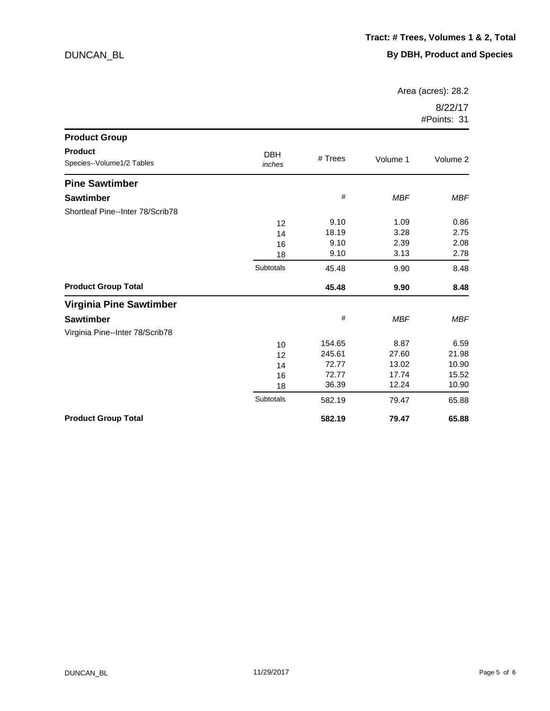Area (acres): 28.2

| <b>Product Group</b>                        |                      |           |            |            |
|---------------------------------------------|----------------------|-----------|------------|------------|
| <b>Product</b><br>Species--Volume1/2 Tables | <b>DBH</b><br>inches | $#$ Trees | Volume 1   | Volume 2   |
| <b>Pine Sawtimber</b>                       |                      |           |            |            |
| <b>Sawtimber</b>                            |                      | #         | <b>MBF</b> | <b>MBF</b> |
| Shortleaf Pine--Inter 78/Scrib78            |                      |           |            |            |
|                                             | 12                   | 9.10      | 1.09       | 0.86       |
|                                             | 14                   | 18.19     | 3.28       | 2.75       |
|                                             | 16                   | 9.10      | 2.39       | 2.08       |
|                                             | 18                   | 9.10      | 3.13       | 2.78       |
|                                             | Subtotals            | 45.48     | 9.90       | 8.48       |
| <b>Product Group Total</b>                  |                      | 45.48     | 9.90       | 8.48       |
| <b>Virginia Pine Sawtimber</b>              |                      |           |            |            |
| <b>Sawtimber</b>                            |                      | $\#$      | <b>MBF</b> | <b>MBF</b> |
| Virginia Pine--Inter 78/Scrib78             |                      |           |            |            |
|                                             | 10                   | 154.65    | 8.87       | 6.59       |
|                                             | 12                   | 245.61    | 27.60      | 21.98      |
|                                             | 14                   | 72.77     | 13.02      | 10.90      |
|                                             | 16                   | 72.77     | 17.74      | 15.52      |
|                                             | 18                   | 36.39     | 12.24      | 10.90      |
|                                             | Subtotals            | 582.19    | 79.47      | 65.88      |
| <b>Product Group Total</b>                  |                      | 582.19    | 79.47      | 65.88      |